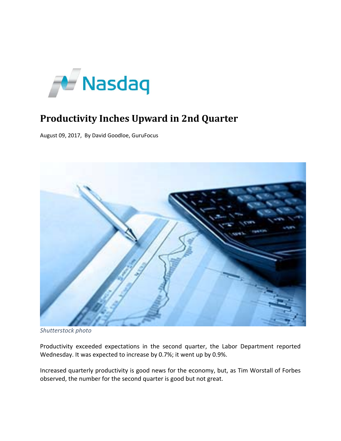

## **Productivity Inches Upward in 2nd Quarter**

August 09, 2017, By David Goodloe, GuruFocus



*Shutterstock photo*

Productivity exceeded expectations in the second quarter, the Labor Department reported Wednesday. It was expected to increase by 0.7%; it went up by 0.9%.

Increased quarterly productivity is good news for the economy, but, as Tim Worstall of Forbes observed, the number for the second quarter is good but not great.